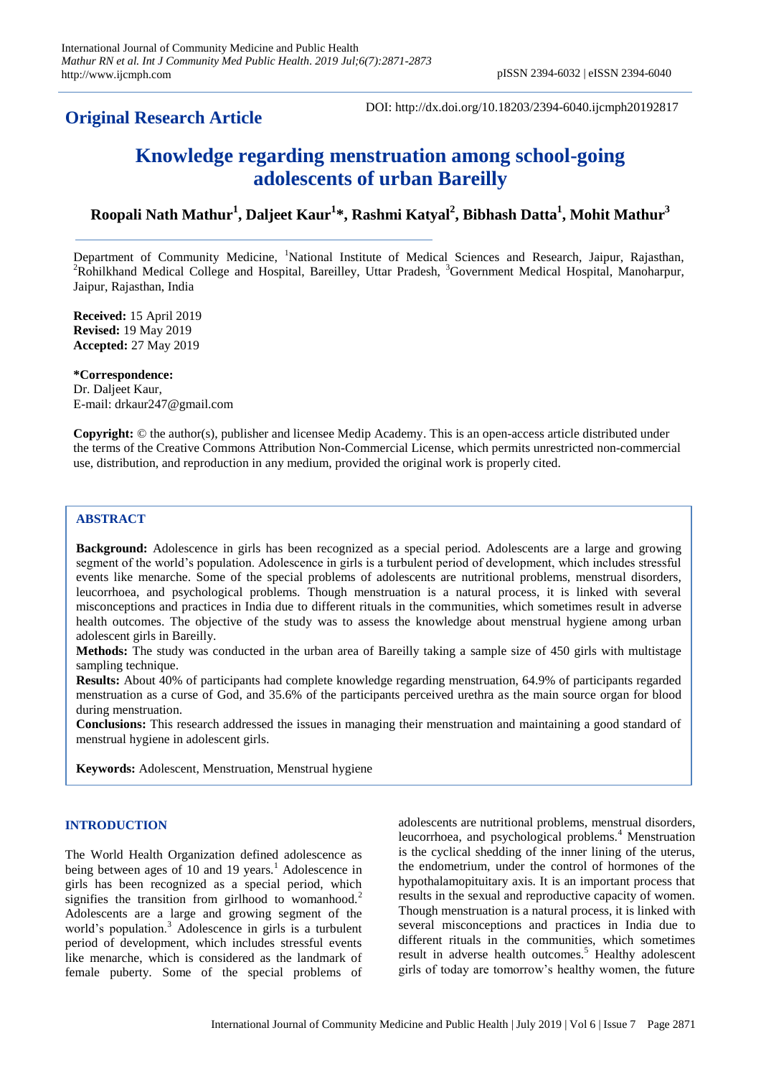# **Original Research Article**

DOI: http://dx.doi.org/10.18203/2394-6040.ijcmph20192817

# **Knowledge regarding menstruation among school-going adolescents of urban Bareilly**

# **Roopali Nath Mathur<sup>1</sup> , Daljeet Kaur<sup>1</sup> \*, Rashmi Katyal<sup>2</sup> , Bibhash Datta<sup>1</sup> , Mohit Mathur<sup>3</sup>**

Department of Community Medicine, <sup>1</sup>National Institute of Medical Sciences and Research, Jaipur, Rajasthan, <sup>2</sup>Rohilkhand Medical College and Hospital, Bareilley, Uttar Pradesh, <sup>3</sup>Government Medical Hospital, Manoharpur, Jaipur, Rajasthan, India

**Received:** 15 April 2019 **Revised:** 19 May 2019 **Accepted:** 27 May 2019

**\*Correspondence:** Dr. Daljeet Kaur, E-mail: drkaur247@gmail.com

**Copyright:** © the author(s), publisher and licensee Medip Academy. This is an open-access article distributed under the terms of the Creative Commons Attribution Non-Commercial License, which permits unrestricted non-commercial use, distribution, and reproduction in any medium, provided the original work is properly cited.

# **ABSTRACT**

**Background:** Adolescence in girls has been recognized as a special period. Adolescents are a large and growing segment of the world's population. Adolescence in girls is a turbulent period of development, which includes stressful events like menarche. Some of the special problems of adolescents are nutritional problems, menstrual disorders, leucorrhoea, and psychological problems. Though menstruation is a natural process, it is linked with several misconceptions and practices in India due to different rituals in the communities, which sometimes result in adverse health outcomes. The objective of the study was to assess the knowledge about menstrual hygiene among urban adolescent girls in Bareilly.

**Methods:** The study was conducted in the urban area of Bareilly taking a sample size of 450 girls with multistage sampling technique.

**Results:** About 40% of participants had complete knowledge regarding menstruation, 64.9% of participants regarded menstruation as a curse of God, and 35.6% of the participants perceived urethra as the main source organ for blood during menstruation.

**Conclusions:** This research addressed the issues in managing their menstruation and maintaining a good standard of menstrual hygiene in adolescent girls.

**Keywords:** Adolescent, Menstruation, Menstrual hygiene

# **INTRODUCTION**

The World Health Organization defined adolescence as being between ages of 10 and 19 years.<sup>1</sup> Adolescence in girls has been recognized as a special period, which signifies the transition from girlhood to womanhood.<sup>2</sup> Adolescents are a large and growing segment of the world's population.<sup>3</sup> Adolescence in girls is a turbulent period of development, which includes stressful events like menarche, which is considered as the landmark of female puberty. Some of the special problems of adolescents are nutritional problems, menstrual disorders, leucorrhoea, and psychological problems.<sup>4</sup> Menstruation is the cyclical shedding of the inner lining of the uterus, the endometrium, under the control of hormones of the hypothalamopituitary axis. It is an important process that results in the sexual and reproductive capacity of women. Though menstruation is a natural process, it is linked with several misconceptions and practices in India due to different rituals in the communities, which sometimes result in adverse health outcomes.<sup>5</sup> Healthy adolescent girls of today are tomorrow's healthy women, the future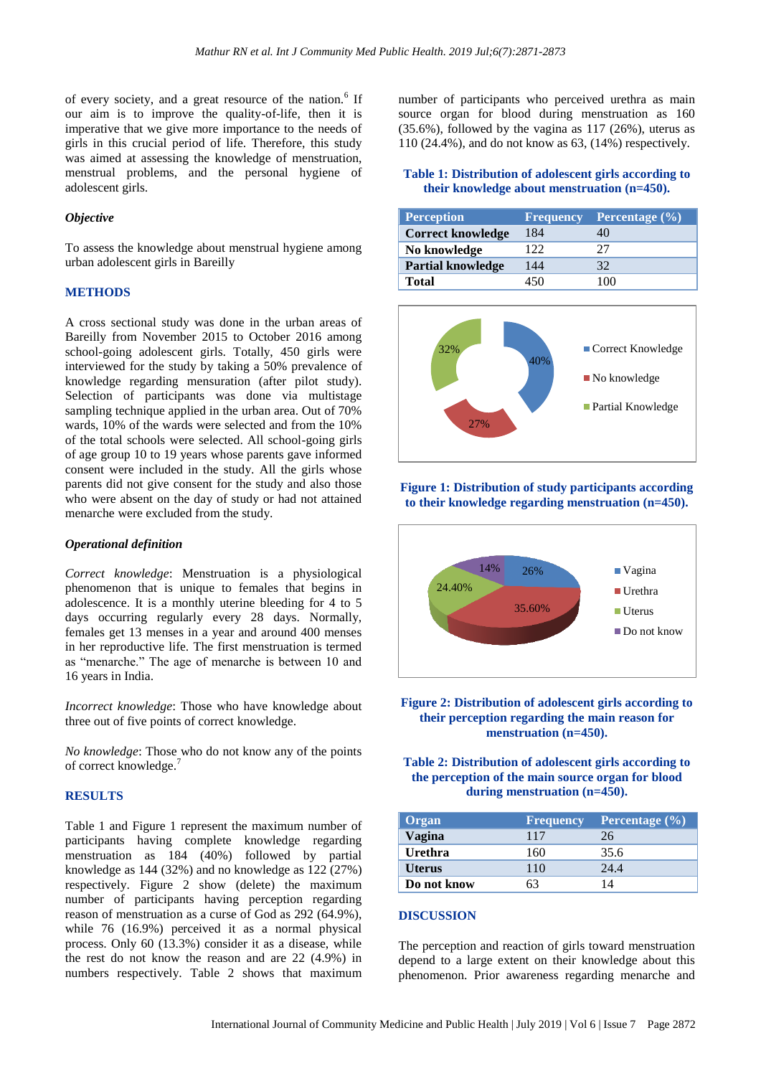of every society, and a great resource of the nation.<sup>6</sup> If our aim is to improve the quality-of-life, then it is imperative that we give more importance to the needs of girls in this crucial period of life. Therefore, this study was aimed at assessing the knowledge of menstruation, menstrual problems, and the personal hygiene of adolescent girls.

#### *Objective*

To assess the knowledge about menstrual hygiene among urban adolescent girls in Bareilly

#### **METHODS**

A cross sectional study was done in the urban areas of Bareilly from November 2015 to October 2016 among school-going adolescent girls. Totally, 450 girls were interviewed for the study by taking a 50% prevalence of knowledge regarding mensuration (after pilot study). Selection of participants was done via multistage sampling technique applied in the urban area. Out of 70% wards, 10% of the wards were selected and from the 10% of the total schools were selected. All school-going girls of age group 10 to 19 years whose parents gave informed consent were included in the study. All the girls whose parents did not give consent for the study and also those who were absent on the day of study or had not attained menarche were excluded from the study.

#### *Operational definition*

*Correct knowledge*: Menstruation is a physiological phenomenon that is unique to females that begins in adolescence. It is a monthly uterine bleeding for 4 to 5 days occurring regularly every 28 days. Normally, females get 13 menses in a year and around 400 menses in her reproductive life. The first menstruation is termed as "menarche." The age of menarche is between 10 and 16 years in India.

*Incorrect knowledge*: Those who have knowledge about three out of five points of correct knowledge.

*No knowledge*: Those who do not know any of the points of correct knowledge.<sup>7</sup>

# **RESULTS**

Table 1 and Figure 1 represent the maximum number of participants having complete knowledge regarding menstruation as 184 (40%) followed by partial knowledge as 144 (32%) and no knowledge as 122 (27%) respectively. Figure 2 show (delete) the maximum number of participants having perception regarding reason of menstruation as a curse of God as 292 (64.9%), while 76 (16.9%) perceived it as a normal physical process. Only 60 (13.3%) consider it as a disease, while the rest do not know the reason and are 22 (4.9%) in numbers respectively. Table 2 shows that maximum number of participants who perceived urethra as main source organ for blood during menstruation as 160 (35.6%), followed by the vagina as 117 (26%), uterus as 110 (24.4%), and do not know as 63, (14%) respectively.

#### **Table 1: Distribution of adolescent girls according to their knowledge about menstruation (n=450).**

| <b>Perception</b>        | <b>Frequency</b> | Percentage (%) |
|--------------------------|------------------|----------------|
| <b>Correct knowledge</b> | 184              |                |
| No knowledge             | 122              | フフ             |
| <b>Partial knowledge</b> | 144              | 32             |
| Total                    | 450              | 100            |







**Figure 2: Distribution of adolescent girls according to their perception regarding the main reason for menstruation (n=450).**

## **Table 2: Distribution of adolescent girls according to the perception of the main source organ for blood during menstruation (n=450).**

| Organ          | Frequency | Percentage $(\% )$ |
|----------------|-----------|--------------------|
| Vagina         | 117       | 26                 |
| <b>Urethra</b> | 160       | 35.6               |
| <b>Uterus</b>  | 110       | 24.4               |
| Do not know    | 63        | IΔ                 |

#### **DISCUSSION**

The perception and reaction of girls toward menstruation depend to a large extent on their knowledge about this phenomenon. Prior awareness regarding menarche and